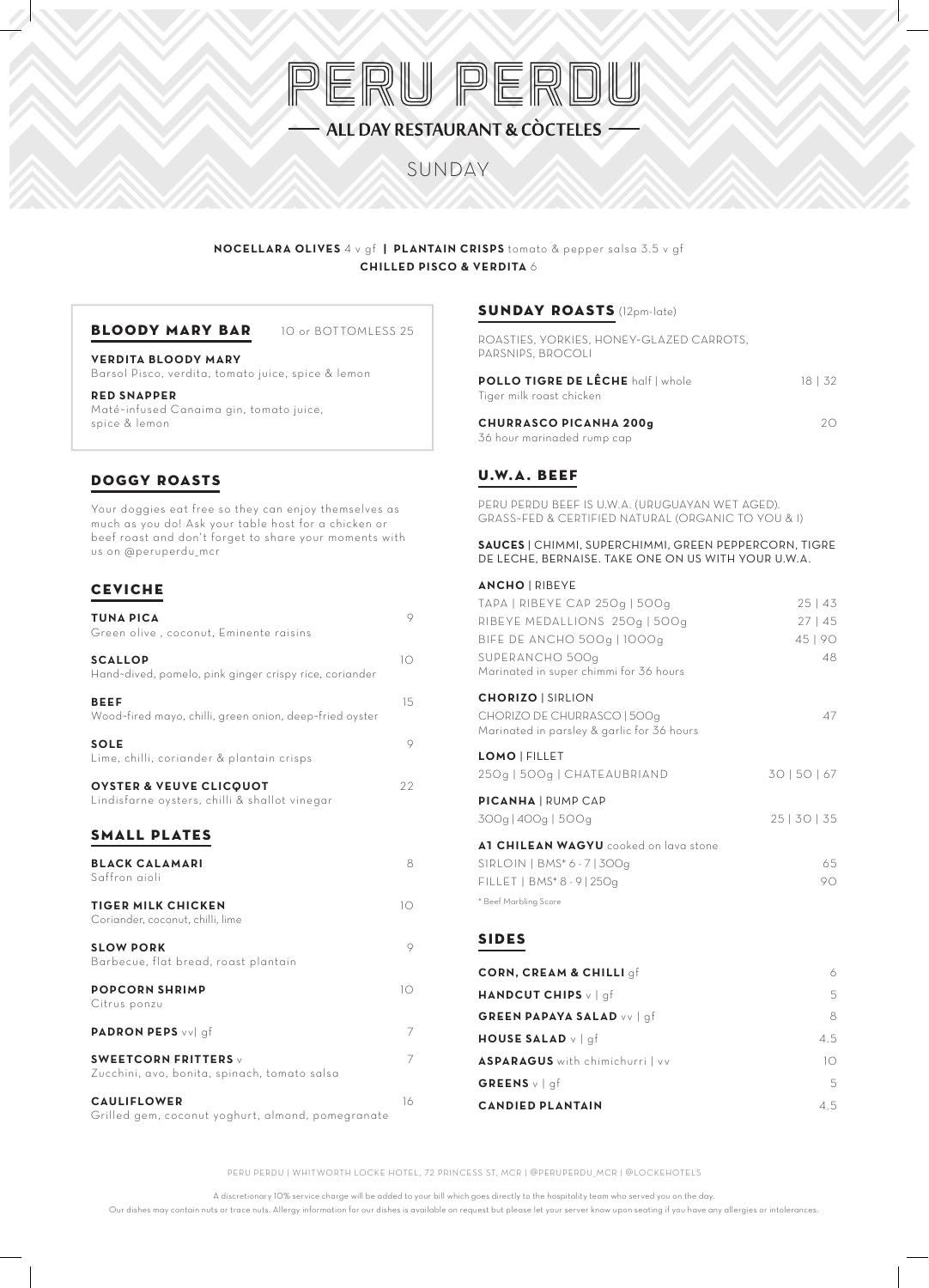# PERU PERDU - ALL DAY RESTAURANT & CÒCTELES -

# SUNDAY

#### **NOCELLARA OLIVES** 4 v gf **| PLANTAIN CRISPS** tomato & pepper salsa 3.5 v gf **CHILLED PISCO & VERDITA** 6

#### **BLOODY MARY BAR** 10 or BOTTOMLESS 25

**VERDITA BLOODY MARY** Barsol Pisco, verdita, tomato juice, spice & lemon

#### **RED SNAPPER** Maté~infused Canaima gin, tomato juice, spice & lemon

## DOGGY ROASTS

Your doggies eat free so they can enjoy themselves as much as you do! Ask your table host for a chicken or beef roast and don't forget to share your moments with us on @peruperdu\_mcr

### CEVICHE

| <b>TUNA PICA</b><br>Green olive, coconut, Eminente raisins                          | 9  |
|-------------------------------------------------------------------------------------|----|
| <b>SCALLOP</b><br>Hand~dived, pomelo, pink ginger crispy rice, coriander            | 10 |
| <b>BEEF</b><br>Wood-fired mayo, chilli, green onion, deep-fried oyster              | 15 |
| <b>SOLE</b><br>Lime, chilli, coriander & plantain crisps                            | 9  |
| <b>OYSTER &amp; VEUVE CLICQUOT</b><br>Lindisfarne oysters, chilli & shallot vinegar | 22 |
| <b>SMALL PLATES</b>                                                                 |    |
| <b>BLACK CALAMARI</b><br>Saffron aioli                                              | 8  |
| <b>TIGER MILK CHICKEN</b><br>Coriander, coconut, chilli, lime                       | 10 |
| <b>SLOW PORK</b><br>Barbecue, flat bread, roast plantain                            | 9  |
| <b>POPCORN SHRIMP</b><br>Citrus ponzu                                               | 10 |
| <b>PADRON PEPS</b> vvl af                                                           | 7  |
| SWEETCORN FRITTERS $\vee$<br>Zucchini, avo, bonita, spinach, tomato salsa           | 7  |
| <b>CAULIFLOWER</b><br>Grilled gem, coconut yoghurt, almond, pomegranate             | 16 |

#### SUNDAY ROASTS (12pm-late)

ROASTIES, YORKIES, HONEY~GLAZED CARROTS, PARSNIPS, BROCOLI **POLLO TIGRE DE LÊCHE** half | whole 18 | 32 Tiger milk roast chicken

**CHURRASCO PICANHA 200g** 20 36 hour marinaded rump cap

### U.W.A. BEEF

PERU PERDU BEEF IS U.W.A. (URUGUAYAN WET AGED). GRASS~FED & CERTIFIED NATURAL (ORGANIC TO YOU & I)

#### **SAUCES** | CHIMMI, SUPERCHIMMI, GREEN PEPPERCORN, TIGRE DE LECHE, BERNAISE. TAKE ONE ON US WITH YOUR U.W.A.

| <b>ANCHO   RIBEYE</b>                               |              |
|-----------------------------------------------------|--------------|
| TAPA   RIBEYE CAP 250g   500g                       | $25 \mid 43$ |
| RIBEYE MEDALLIONS 250g   500g                       | 27   45      |
| <b>BIFE DE ANCHO 500g   1000g</b>                   | 45 90        |
| SUPERANCHO 500g                                     | 48           |
| Marinated in super chimmi for 36 hours              |              |
| <b>CHORIZO   SIRLION</b>                            |              |
| CHORIZO DE CHURRASCO   500q                         | 47           |
| Marinated in parsley & garlic for 36 hours          |              |
| <b>LOMO   FILLET</b>                                |              |
| 250g   500g   CHATEAUBRIAND                         | 30   50   67 |
| <b>PICANHA   RUMP CAP</b>                           |              |
| 300g   400g   500g                                  | 25   30   35 |
|                                                     |              |
| AT CHILEAN WAGYU cooked on lava stone               |              |
| SIRLOIN   BMS <sup>*</sup> 6 - 7   300 <sub>9</sub> | 65           |
| FILLET   BMS* 8 - 9   250g                          | 90           |
| * Beef Marbling Score                               |              |
|                                                     |              |

#### SIDES

| <b>CORN, CREAM &amp; CHILLI</b> of     | 6   |
|----------------------------------------|-----|
| <b>HANDCUT CHIPS</b> $v \mid af$       | 5   |
| <b>GREEN PAPAYA SALAD vv   qf</b>      | 8   |
| <b>HOUSE SALAD</b> v   qf              | 4.5 |
| <b>ASPARAGUS</b> with chimichurri   vv | 10  |
| GREENS $v \mid af$                     | 5   |
| <b>CANDIED PLANTAIN</b>                | 4.5 |

PERU PERDU | WHITWORTH LOCKE HOTEL, 72 PRINCESS ST, MCR | @PERUPERDU\_MCR | @LOCKEHOTELS

A discretionary 10% service charge will be added to your bill which goes directly to the hospitality team who served you on the day.

Our dishes may contain nuts or trace nuts. Allergy information for our dishes is available on request but please let your server know upon seating if you have any allergies or intolerances.